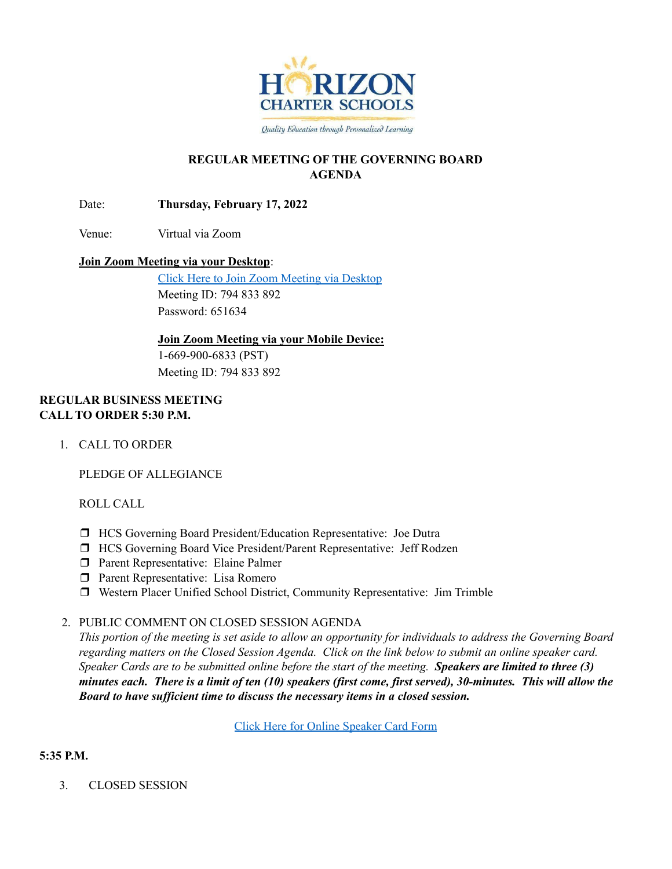

Quality Education through Personalized Learning

## **REGULAR MEETING OF THE GOVERNING BOARD AGENDA**

Date: **Thursday, February 17, 2022**

Venue: Virtual via Zoom

### **Join Zoom Meeting via your Desktop**:

Click Here to Join Zoom [Meeting](https://zoom.us/j/794833892?pwd=eDJTb0MyQ1g2NDBxN3pPY2ZpdXI2UT09) via Desktop Meeting ID: 794 833 892 Password: 651634

### **Join Zoom Meeting via your Mobile Device:**

1-669-900-6833 (PST) Meeting ID: 794 833 892

### **REGULAR BUSINESS MEETING CALL TO ORDER 5:30 P.M.**

1. CALL TO ORDER

PLEDGE OF ALLEGIANCE

ROLL CALL

- ❒ HCS Governing Board President/Education Representative: Joe Dutra
- ❒ HCS Governing Board Vice President/Parent Representative: Jeff Rodzen
- ❒ Parent Representative: Elaine Palmer
- ❒ Parent Representative: Lisa Romero
- ❒ Western Placer Unified School District, Community Representative: Jim Trimble

## 2. PUBLIC COMMENT ON CLOSED SESSION AGENDA

This portion of the meeting is set aside to allow an opportunity for individuals to address the Governing Board regarding matters on the Closed Session Agenda. Click on the link below to submit an online speaker card. Speaker Cards are to be submitted online before the start of the meeting. Speakers are limited to three (3) minutes each. There is a limit of ten (10) speakers (first come, first served), 30-minutes. This will allow the *Board to have suf icient time to discuss the necessary items in a closed session.*

Click Here for Online [Speaker](https://forms.gle/1Ad7NmftiSuScxKCA) Card Form

## **5:35 P.M.**

3. CLOSED SESSION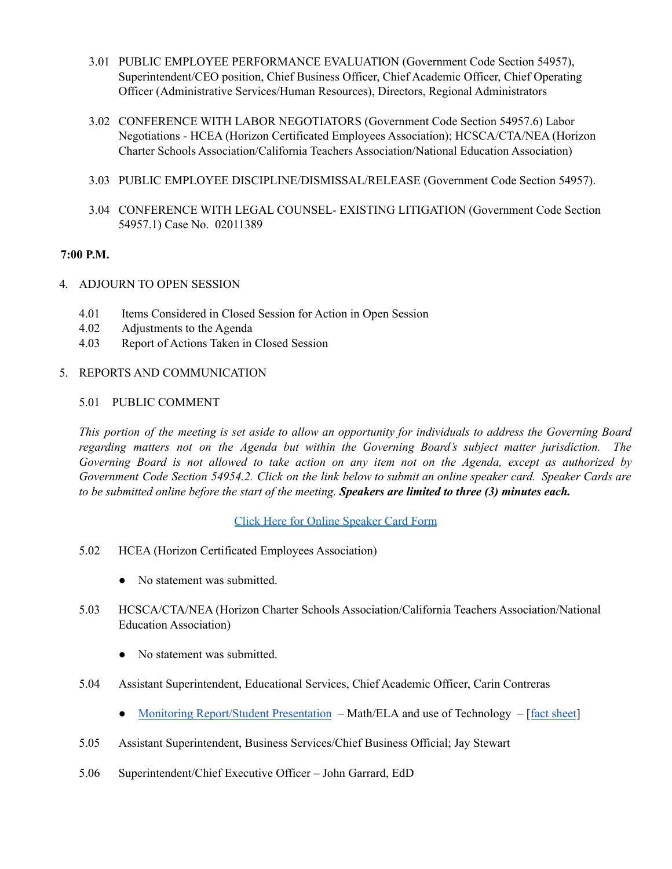- 3.01 PUBLIC EMPLOYEE PERFORMANCE EVALUATION (Government Code Section 54957), Superintendent/CEO position, Chief Business Officer, Chief Academic Officer, Chief Operating Officer (Administrative Services/Human Resources), Directors, Regional Administrators
- 3.02 CONFERENCE WITH LABOR NEGOTIATORS (Government Code Section 54957.6) Labor Negotiations - HCEA (Horizon Certificated Employees Association); HCSCA/CTA/NEA (Horizon Charter Schools Association/California Teachers Association/National Education Association)
- 3.03 PUBLIC EMPLOYEE DISCIPLINE/DISMISSAL/RELEASE (Government Code Section 54957).
- 3.04 CONFERENCE WITH LEGAL COUNSEL- EXISTING LITIGATION (Government Code Section 54957.1) Case No. 02011389

### **7:00 P.M.**

- 4. ADJOURN TO OPEN SESSION
	- 4.01 Items Considered in Closed Session for Action in Open Session
	- 4.02 Adjustments to the Agenda
	- 4.03 Report of Actions Taken in Closed Session

#### 5. REPORTS AND COMMUNICATION

#### 5.01 PUBLIC COMMENT

This portion of the meeting is set aside to allow an opportunity for individuals to address the Governing Board *regarding matters not on the Agenda but within the Governing Board's subject matter jurisdiction. The* Governing Board is not allowed to take action on any item not on the Agenda, except as authorized by Government Code Section 54954.2. Click on the link below to submit an online speaker card. Speaker Cards are to be submitted online before the start of the meeting. Speakers are limited to three (3) minutes each.

Click Here for Online [Speaker](https://forms.gle/1Ad7NmftiSuScxKCA) Card Form

- 5.02 HCEA (Horizon Certificated Employees Association)
	- No statement was submitted.
- 5.03 HCSCA/CTA/NEA (Horizon Charter Schools Association/California Teachers Association/National Education Association)
	- No statement was submitted.
- 5.04 Assistant Superintendent, Educational Services, Chief Academic Officer, Carin Contreras
	- Monitoring [Report/Student](https://docs.google.com/presentation/d/16c9VA7N-nN1-jJz_oZDilugHurAMHz_qKSmxlZ7AGGI/edit#slide=id.g11196965582_0_36) Presentation Math/ELA and use of Technology [fact [sheet](https://drive.google.com/file/d/1jWKbCfQjkmHTkOO2jljYkIo9FYOEUjS7/view?usp=sharing)]
- 5.05 Assistant Superintendent, Business Services/Chief Business Official; Jay Stewart
- 5.06 Superintendent/Chief Executive Officer John Garrard, EdD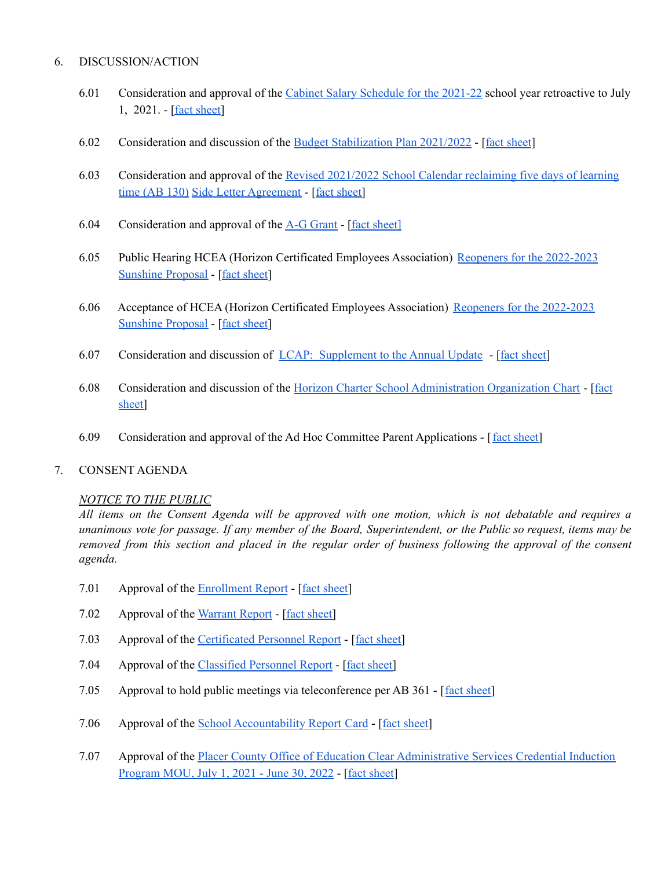### 6. DISCUSSION/ACTION

- 6.01 Consideration and approval of the Cabinet Salary [Schedule](https://drive.google.com/file/d/1ODNn2_PqdG76cLD-m-m9EcDcodqvS8DS/view?usp=sharing) for the 2021-22 school year retroactive to July 1, 2021. - [fact [sheet](https://drive.google.com/file/d/1LiKEBeuxBgD8Xdf3TyKTH0pgEJylKE8S/view?usp=sharing)]
- 6.02 Consideration and discussion of the Budget [Stabilization](https://docs.google.com/presentation/d/1V03GjXPmEWIQO8_SOM2FTQx_-YLVb_Nb/edit?usp=sharing&ouid=106436144914709673495&rtpof=true&sd=true) Plan 2021/2022 [fact [sheet](https://drive.google.com/file/d/1Dm1M-DdzBlbuoKbYrvzgiHDxGQXt2jnv/view?usp=sharing)]
- 6.03 Consideration and approval of the Revised [2021/2022](https://drive.google.com/file/d/1o3Vcf687K8I8D5H4R2xvaGtg_SaLu-wF/view?usp=sharing) School Calendar reclaiming five days of learning time (AB [130\)](https://drive.google.com/file/d/1o3Vcf687K8I8D5H4R2xvaGtg_SaLu-wF/view?usp=sharing) Side Letter [Agreement](https://drive.google.com/file/d/1KFgzcM71PQisE4sC7Jc4tTKXupPm0bNk/view?usp=sharing) - [fact [sheet\]](https://drive.google.com/file/d/1dvvkIvhDGOiCZIzwU2CL_wbozIPO-nt1/view?usp=sharing)
- 6.04 Consideration and approval of the A-G [Grant](https://docs.google.com/presentation/d/1ggNQbJHrZkD0J8YADklIUToUVyAHxxug34JZ5Alkau8/edit?usp=sharing) [fact [sheet\]](https://docs.google.com/document/d/1Oo8dI_pFEBXqoB4gc_n4rLuUiDQ6f3Nr/edit?usp=sharing&ouid=106436144914709673495&rtpof=true&sd=true)
- 6.05 Public Hearing HCEA (Horizon Certificated Employees Association) Reopeners for the [2022-2023](https://drive.google.com/file/d/1JYs0t57opTvcKRtVbCPnwN7MoKlF0_ww/view?usp=sharing) [Sunshine](https://drive.google.com/file/d/1JYs0t57opTvcKRtVbCPnwN7MoKlF0_ww/view?usp=sharing) Proposal - [fact [sheet](https://drive.google.com/file/d/1aXPMtGP-m8pviKWvU_ikM9D3_EckWZyb/view?usp=sharing)]
- 6.06 Acceptance of HCEA (Horizon Certificated Employees Association) Reopeners for the [2022-2023](https://drive.google.com/file/d/1JYs0t57opTvcKRtVbCPnwN7MoKlF0_ww/view?usp=sharing) [Sunshine](https://drive.google.com/file/d/1JYs0t57opTvcKRtVbCPnwN7MoKlF0_ww/view?usp=sharing) Proposal - [fact [sheet](https://drive.google.com/file/d/1xUB1mCmiMmoRGhY42j3m_BJokS_eMtN5/view?usp=sharing)]
- 6.07 Consideration and discussion of LCAP: [Supplement](https://docs.google.com/presentation/d/1gRiulChEKWctVEQGjbx8u-pJscYyi5X7RgVApMsiB-c/edit?usp=sharing) to the Annual Update [fact [sheet\]](https://drive.google.com/file/d/1BNmTskThoSXfcrLzvLjgcuD3r9sH0IBF/view?usp=sharing)
- 6.08 Consideration and discussion of the Horizon Charter School [Administration](https://drive.google.com/file/d/1mzKCziBeDfZ2EDsfgjNnJD47pGBU0IY0/view?usp=sharing) Organization Chart [[fact](https://drive.google.com/file/d/1_YpikC77nUKBB3RdoKJ8tqQmbnZMEF_Q/view?usp=sharing) [sheet\]](https://drive.google.com/file/d/1_YpikC77nUKBB3RdoKJ8tqQmbnZMEF_Q/view?usp=sharing)
- 6.09 Consideration and approval of the Ad Hoc Committee Parent Applications [fact [sheet\]](https://drive.google.com/file/d/1UtSdRDg0odHe2HMSkZ1FSRaH7hhWKkd2/view?usp=sharing)

#### 7. CONSENT AGENDA

#### *NOTICE TO THE PUBLIC*

All items on the Consent Agenda will be approved with one motion, which is not debatable and requires a unanimous vote for passage. If any member of the Board, Superintendent, or the Public so request, items may be removed from this section and placed in the regular order of business following the approval of the consent *agenda.*

- 7.01 Approval of the [Enrollment](https://docs.google.com/spreadsheets/d/1S-8jkc3n3rKHKBDPFwZegtMHQWDtMJTy/edit?usp=sharing&ouid=106436144914709673495&rtpof=true&sd=true) Report [fact [sheet](https://drive.google.com/file/d/1oilXVextyLaoEObkDKEhXpPjJQwZvspH/view?usp=sharing)]
- 7.02 Approval of the [Warrant](https://drive.google.com/file/d/1Hw3LfE-8zL7SjpPDRgNBkmedSiclh9c3/view?usp=sharing) Report [fact [sheet\]](https://drive.google.com/file/d/1MJt70t1lFEruG2QJeNzyf-jyro0x2T-P/view?usp=sharing)
- 7.03 Approval of the [Certificated](https://drive.google.com/file/d/1G1iObfPFxlt4wTyk3RyY8EzqCE0JEkqM/view?usp=sharing) Personnel Report [fact [sheet\]](https://docs.google.com/document/d/1zIKQyV72c792ZkK0rAK-0LNwmtt5dxNEotJ1XGEUzz0/edit?usp=sharing)
- 7.04 Approval of the [Classified](https://drive.google.com/file/d/1TEMnxN7iuWErZfZrVa9N0r62uD6haxu5/view?usp=sharing) Personnel Report [fact [sheet\]](https://docs.google.com/document/d/1O3FuJuDyOM9OBarprqCfiizJBmAm1clpmOBFaRYx2N8/edit?usp=sharing)
- 7.05 Approval to hold public meetings via teleconference per AB 361 [fact [sheet](https://drive.google.com/file/d/18HNOqpF6mHp-ZsJNeQB9PJuoszCX6KXh/view?usp=sharing)]
- 7.06 Approval of the School [Accountability](https://drive.google.com/file/d/1tfO5kdmSGemYYX8a-v19lXchHEctUPvY/view?usp=sharing) Report Card [fact [sheet](https://drive.google.com/file/d/1okb6o2MgvLYUOh84aX94m-Jg1-E0AglM/view?usp=sharing)]
- 7.07 Approval of the Placer County Office of Education Clear [Administrative](https://drive.google.com/file/d/11L5piNA-FC98OjGgKzHaXS8YQqEAcMjC/view?usp=sharing) Services Credential Induction [Program](https://drive.google.com/file/d/11L5piNA-FC98OjGgKzHaXS8YQqEAcMjC/view?usp=sharing) MOU, July 1, 2021 - June 30, 2022 - [fact [sheet\]](https://docs.google.com/document/d/1LgNkRRHlRaaRPmvycs2xIZSghJXAYwoRrtMUm0JOdHE/edit?usp=sharing)